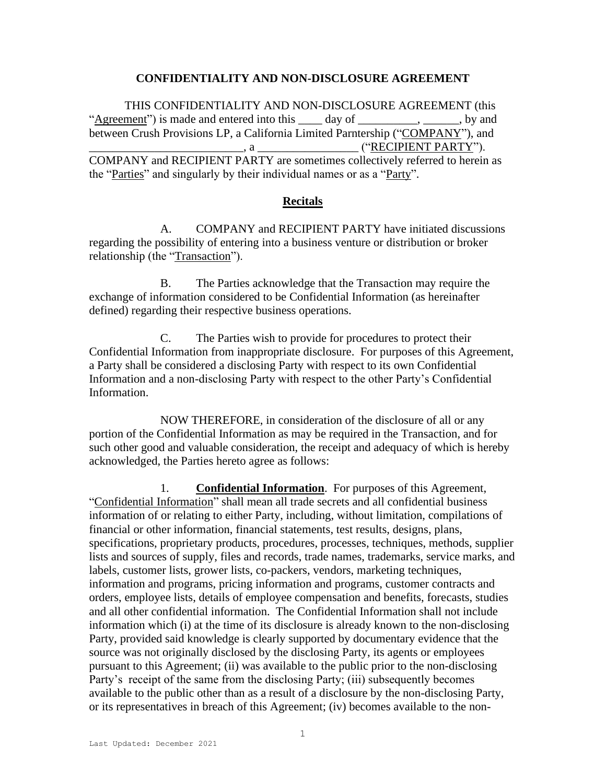#### **CONFIDENTIALITY AND NON-DISCLOSURE AGREEMENT**

THIS CONFIDENTIALITY AND NON-DISCLOSURE AGREEMENT (this "Agreement") is made and entered into this \_\_\_\_ day of \_\_\_\_\_\_\_\_, \_\_\_\_\_, by and between Crush Provisions LP, a California Limited Parntership ("COMPANY"), and \_\_\_\_\_\_\_\_\_\_\_\_\_\_\_\_\_\_\_\_\_\_\_\_\_\_, a \_\_\_\_\_\_\_\_\_\_\_\_\_\_\_\_\_ ("RECIPIENT PARTY"). COMPANY and RECIPIENT PARTY are sometimes collectively referred to herein as the "Parties" and singularly by their individual names or as a "Party".

## **Recitals**

A. COMPANY and RECIPIENT PARTY have initiated discussions regarding the possibility of entering into a business venture or distribution or broker relationship (the "Transaction").

B. The Parties acknowledge that the Transaction may require the exchange of information considered to be Confidential Information (as hereinafter defined) regarding their respective business operations.

C. The Parties wish to provide for procedures to protect their Confidential Information from inappropriate disclosure. For purposes of this Agreement, a Party shall be considered a disclosing Party with respect to its own Confidential Information and a non-disclosing Party with respect to the other Party's Confidential Information.

NOW THEREFORE, in consideration of the disclosure of all or any portion of the Confidential Information as may be required in the Transaction, and for such other good and valuable consideration, the receipt and adequacy of which is hereby acknowledged, the Parties hereto agree as follows:

1. **Confidential Information**. For purposes of this Agreement, "Confidential Information" shall mean all trade secrets and all confidential business information of or relating to either Party, including, without limitation, compilations of financial or other information, financial statements, test results, designs, plans, specifications, proprietary products, procedures, processes, techniques, methods, supplier lists and sources of supply, files and records, trade names, trademarks, service marks, and labels, customer lists, grower lists, co-packers, vendors, marketing techniques, information and programs, pricing information and programs, customer contracts and orders, employee lists, details of employee compensation and benefits, forecasts, studies and all other confidential information. The Confidential Information shall not include information which (i) at the time of its disclosure is already known to the non-disclosing Party, provided said knowledge is clearly supported by documentary evidence that the source was not originally disclosed by the disclosing Party, its agents or employees pursuant to this Agreement; (ii) was available to the public prior to the non-disclosing Party's receipt of the same from the disclosing Party; (iii) subsequently becomes available to the public other than as a result of a disclosure by the non-disclosing Party, or its representatives in breach of this Agreement; (iv) becomes available to the non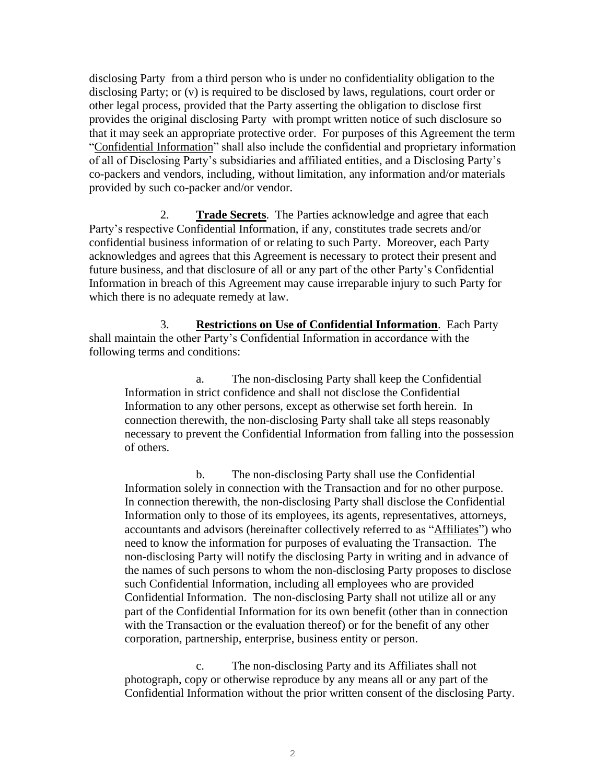disclosing Party from a third person who is under no confidentiality obligation to the disclosing Party; or (v) is required to be disclosed by laws, regulations, court order or other legal process, provided that the Party asserting the obligation to disclose first provides the original disclosing Party with prompt written notice of such disclosure so that it may seek an appropriate protective order. For purposes of this Agreement the term "Confidential Information" shall also include the confidential and proprietary information of all of Disclosing Party's subsidiaries and affiliated entities, and a Disclosing Party's co-packers and vendors, including, without limitation, any information and/or materials provided by such co-packer and/or vendor.

2. **Trade Secrets**. The Parties acknowledge and agree that each Party's respective Confidential Information, if any, constitutes trade secrets and/or confidential business information of or relating to such Party. Moreover, each Party acknowledges and agrees that this Agreement is necessary to protect their present and future business, and that disclosure of all or any part of the other Party's Confidential Information in breach of this Agreement may cause irreparable injury to such Party for which there is no adequate remedy at law.

3. **Restrictions on Use of Confidential Information**. Each Party shall maintain the other Party's Confidential Information in accordance with the following terms and conditions:

a. The non-disclosing Party shall keep the Confidential Information in strict confidence and shall not disclose the Confidential Information to any other persons, except as otherwise set forth herein. In connection therewith, the non-disclosing Party shall take all steps reasonably necessary to prevent the Confidential Information from falling into the possession of others.

b. The non-disclosing Party shall use the Confidential Information solely in connection with the Transaction and for no other purpose. In connection therewith, the non-disclosing Party shall disclose the Confidential Information only to those of its employees, its agents, representatives, attorneys, accountants and advisors (hereinafter collectively referred to as "Affiliates") who need to know the information for purposes of evaluating the Transaction. The non-disclosing Party will notify the disclosing Party in writing and in advance of the names of such persons to whom the non-disclosing Party proposes to disclose such Confidential Information, including all employees who are provided Confidential Information. The non-disclosing Party shall not utilize all or any part of the Confidential Information for its own benefit (other than in connection with the Transaction or the evaluation thereof) or for the benefit of any other corporation, partnership, enterprise, business entity or person.

c. The non-disclosing Party and its Affiliates shall not photograph, copy or otherwise reproduce by any means all or any part of the Confidential Information without the prior written consent of the disclosing Party.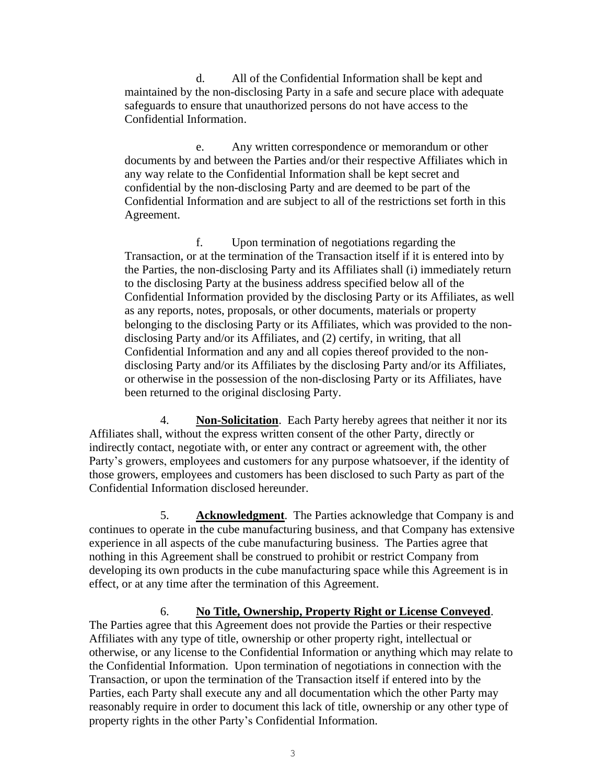d. All of the Confidential Information shall be kept and maintained by the non-disclosing Party in a safe and secure place with adequate safeguards to ensure that unauthorized persons do not have access to the Confidential Information.

e. Any written correspondence or memorandum or other documents by and between the Parties and/or their respective Affiliates which in any way relate to the Confidential Information shall be kept secret and confidential by the non-disclosing Party and are deemed to be part of the Confidential Information and are subject to all of the restrictions set forth in this Agreement.

f. Upon termination of negotiations regarding the Transaction, or at the termination of the Transaction itself if it is entered into by the Parties, the non-disclosing Party and its Affiliates shall (i) immediately return to the disclosing Party at the business address specified below all of the Confidential Information provided by the disclosing Party or its Affiliates, as well as any reports, notes, proposals, or other documents, materials or property belonging to the disclosing Party or its Affiliates, which was provided to the nondisclosing Party and/or its Affiliates, and (2) certify, in writing, that all Confidential Information and any and all copies thereof provided to the nondisclosing Party and/or its Affiliates by the disclosing Party and/or its Affiliates, or otherwise in the possession of the non-disclosing Party or its Affiliates, have been returned to the original disclosing Party.

4. **Non-Solicitation**. Each Party hereby agrees that neither it nor its Affiliates shall, without the express written consent of the other Party, directly or indirectly contact, negotiate with, or enter any contract or agreement with, the other Party's growers, employees and customers for any purpose whatsoever, if the identity of those growers, employees and customers has been disclosed to such Party as part of the Confidential Information disclosed hereunder.

5. **Acknowledgment**. The Parties acknowledge that Company is and continues to operate in the cube manufacturing business, and that Company has extensive experience in all aspects of the cube manufacturing business. The Parties agree that nothing in this Agreement shall be construed to prohibit or restrict Company from developing its own products in the cube manufacturing space while this Agreement is in effect, or at any time after the termination of this Agreement.

## 6. **No Title, Ownership, Property Right or License Conveyed**.

The Parties agree that this Agreement does not provide the Parties or their respective Affiliates with any type of title, ownership or other property right, intellectual or otherwise, or any license to the Confidential Information or anything which may relate to the Confidential Information. Upon termination of negotiations in connection with the Transaction, or upon the termination of the Transaction itself if entered into by the Parties, each Party shall execute any and all documentation which the other Party may reasonably require in order to document this lack of title, ownership or any other type of property rights in the other Party's Confidential Information.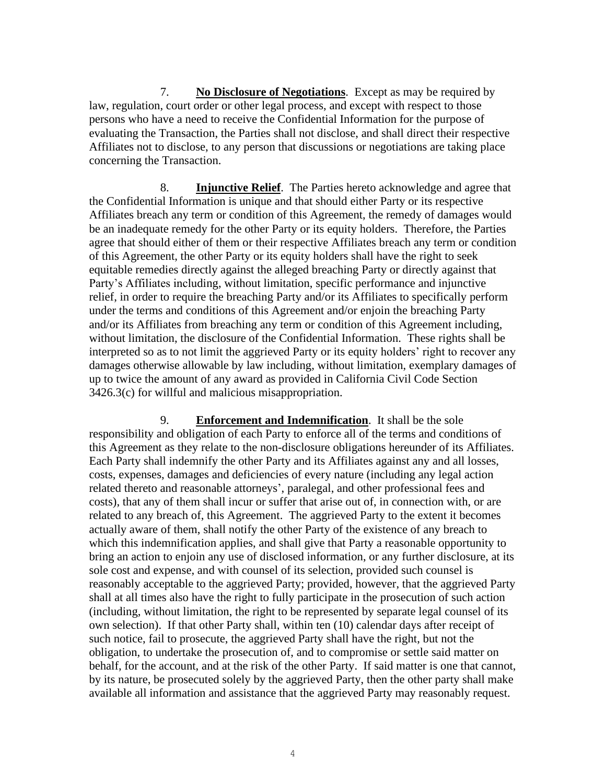7. **No Disclosure of Negotiations**. Except as may be required by law, regulation, court order or other legal process, and except with respect to those persons who have a need to receive the Confidential Information for the purpose of evaluating the Transaction, the Parties shall not disclose, and shall direct their respective Affiliates not to disclose, to any person that discussions or negotiations are taking place concerning the Transaction.

8. **Injunctive Relief**. The Parties hereto acknowledge and agree that the Confidential Information is unique and that should either Party or its respective Affiliates breach any term or condition of this Agreement, the remedy of damages would be an inadequate remedy for the other Party or its equity holders. Therefore, the Parties agree that should either of them or their respective Affiliates breach any term or condition of this Agreement, the other Party or its equity holders shall have the right to seek equitable remedies directly against the alleged breaching Party or directly against that Party's Affiliates including, without limitation, specific performance and injunctive relief, in order to require the breaching Party and/or its Affiliates to specifically perform under the terms and conditions of this Agreement and/or enjoin the breaching Party and/or its Affiliates from breaching any term or condition of this Agreement including, without limitation, the disclosure of the Confidential Information. These rights shall be interpreted so as to not limit the aggrieved Party or its equity holders' right to recover any damages otherwise allowable by law including, without limitation, exemplary damages of up to twice the amount of any award as provided in California Civil Code Section 3426.3(c) for willful and malicious misappropriation.

9. **Enforcement and Indemnification**. It shall be the sole responsibility and obligation of each Party to enforce all of the terms and conditions of this Agreement as they relate to the non-disclosure obligations hereunder of its Affiliates. Each Party shall indemnify the other Party and its Affiliates against any and all losses, costs, expenses, damages and deficiencies of every nature (including any legal action related thereto and reasonable attorneys', paralegal, and other professional fees and costs), that any of them shall incur or suffer that arise out of, in connection with, or are related to any breach of, this Agreement. The aggrieved Party to the extent it becomes actually aware of them, shall notify the other Party of the existence of any breach to which this indemnification applies, and shall give that Party a reasonable opportunity to bring an action to enjoin any use of disclosed information, or any further disclosure, at its sole cost and expense, and with counsel of its selection, provided such counsel is reasonably acceptable to the aggrieved Party; provided, however, that the aggrieved Party shall at all times also have the right to fully participate in the prosecution of such action (including, without limitation, the right to be represented by separate legal counsel of its own selection). If that other Party shall, within ten (10) calendar days after receipt of such notice, fail to prosecute, the aggrieved Party shall have the right, but not the obligation, to undertake the prosecution of, and to compromise or settle said matter on behalf, for the account, and at the risk of the other Party. If said matter is one that cannot, by its nature, be prosecuted solely by the aggrieved Party, then the other party shall make available all information and assistance that the aggrieved Party may reasonably request.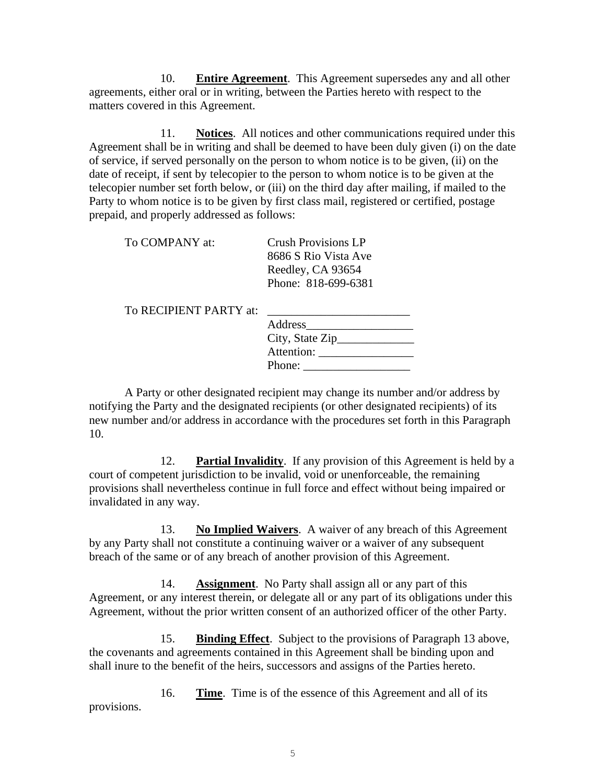10. **Entire Agreement**. This Agreement supersedes any and all other agreements, either oral or in writing, between the Parties hereto with respect to the matters covered in this Agreement.

11. **Notices**. All notices and other communications required under this Agreement shall be in writing and shall be deemed to have been duly given (i) on the date of service, if served personally on the person to whom notice is to be given, (ii) on the date of receipt, if sent by telecopier to the person to whom notice is to be given at the telecopier number set forth below, or (iii) on the third day after mailing, if mailed to the Party to whom notice is to be given by first class mail, registered or certified, postage prepaid, and properly addressed as follows:

To COMPANY at: Crush Provisions LP

8686 S Rio Vista Ave Reedley, CA 93654 Phone: 818-699-6381

To RECIPIENT PARTY at:

| Address          |  |
|------------------|--|
| City, State Zip_ |  |
| Attention:       |  |
| Phone:           |  |

A Party or other designated recipient may change its number and/or address by notifying the Party and the designated recipients (or other designated recipients) of its new number and/or address in accordance with the procedures set forth in this Paragraph 10.

12. **Partial Invalidity**. If any provision of this Agreement is held by a court of competent jurisdiction to be invalid, void or unenforceable, the remaining provisions shall nevertheless continue in full force and effect without being impaired or invalidated in any way.

13. **No Implied Waivers**. A waiver of any breach of this Agreement by any Party shall not constitute a continuing waiver or a waiver of any subsequent breach of the same or of any breach of another provision of this Agreement.

14. **Assignment**. No Party shall assign all or any part of this Agreement, or any interest therein, or delegate all or any part of its obligations under this Agreement, without the prior written consent of an authorized officer of the other Party.

15. **Binding Effect**. Subject to the provisions of Paragraph 13 above, the covenants and agreements contained in this Agreement shall be binding upon and shall inure to the benefit of the heirs, successors and assigns of the Parties hereto.

16. **Time**. Time is of the essence of this Agreement and all of its provisions.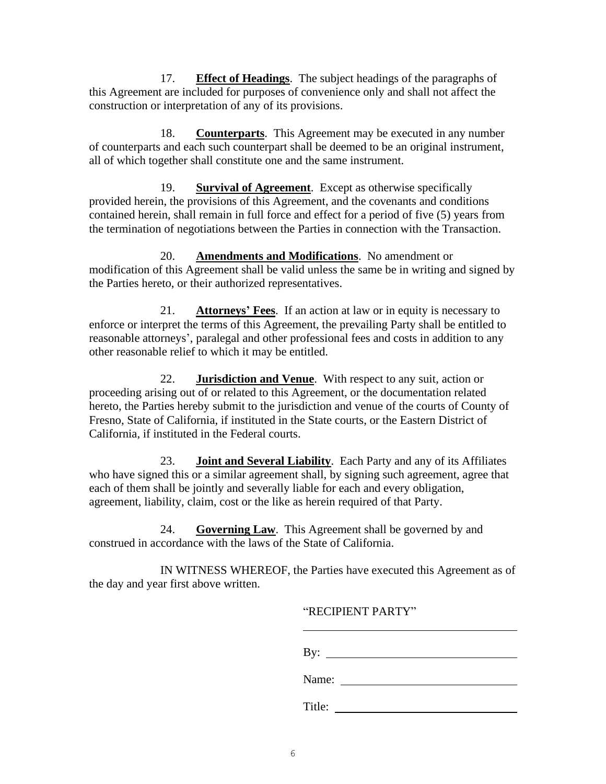17. **Effect of Headings**. The subject headings of the paragraphs of this Agreement are included for purposes of convenience only and shall not affect the construction or interpretation of any of its provisions.

18. **Counterparts**. This Agreement may be executed in any number of counterparts and each such counterpart shall be deemed to be an original instrument, all of which together shall constitute one and the same instrument.

19. **Survival of Agreement**. Except as otherwise specifically provided herein, the provisions of this Agreement, and the covenants and conditions contained herein, shall remain in full force and effect for a period of five (5) years from the termination of negotiations between the Parties in connection with the Transaction.

20. **Amendments and Modifications**. No amendment or modification of this Agreement shall be valid unless the same be in writing and signed by the Parties hereto, or their authorized representatives.

21. **Attorneys' Fees**. If an action at law or in equity is necessary to enforce or interpret the terms of this Agreement, the prevailing Party shall be entitled to reasonable attorneys', paralegal and other professional fees and costs in addition to any other reasonable relief to which it may be entitled.

22. **Jurisdiction and Venue**. With respect to any suit, action or proceeding arising out of or related to this Agreement, or the documentation related hereto, the Parties hereby submit to the jurisdiction and venue of the courts of County of Fresno, State of California, if instituted in the State courts, or the Eastern District of California, if instituted in the Federal courts.

23. **Joint and Several Liability**. Each Party and any of its Affiliates who have signed this or a similar agreement shall, by signing such agreement, agree that each of them shall be jointly and severally liable for each and every obligation, agreement, liability, claim, cost or the like as herein required of that Party.

24. **Governing Law**. This Agreement shall be governed by and construed in accordance with the laws of the State of California.

IN WITNESS WHEREOF, the Parties have executed this Agreement as of the day and year first above written.

## "RECIPIENT PARTY"

| By: |  |  |  |
|-----|--|--|--|
|     |  |  |  |

Name:

Title: